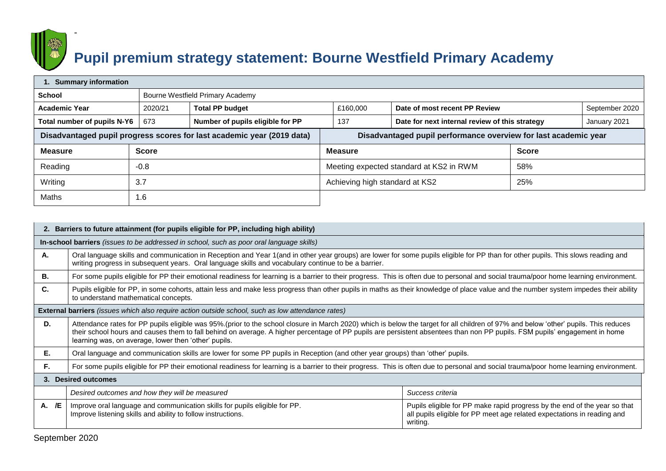

-

## **Pupil premium strategy statement: Bourne Westfield Primary Academy**

| 1. Summary information                                                                                                                    |              |                                  |                                |                                                |              |                |  |
|-------------------------------------------------------------------------------------------------------------------------------------------|--------------|----------------------------------|--------------------------------|------------------------------------------------|--------------|----------------|--|
| School                                                                                                                                    |              | Bourne Westfield Primary Academy |                                |                                                |              |                |  |
| <b>Academic Year</b>                                                                                                                      | 2020/21      | <b>Total PP budget</b>           | £160,000                       | Date of most recent PP Review                  |              | September 2020 |  |
| Total number of pupils N-Y6                                                                                                               | 673          | Number of pupils eligible for PP | 137                            | Date for next internal review of this strategy |              | January 2021   |  |
| Disadvantaged pupil performance overview for last academic year<br>Disadvantaged pupil progress scores for last academic year (2019 data) |              |                                  |                                |                                                |              |                |  |
| <b>Measure</b>                                                                                                                            | <b>Score</b> |                                  | <b>Measure</b>                 |                                                | <b>Score</b> |                |  |
| Reading                                                                                                                                   | $-0.8$       |                                  |                                | Meeting expected standard at KS2 in RWM        |              |                |  |
| Writing                                                                                                                                   | 3.7          |                                  | Achieving high standard at KS2 |                                                | 25%          |                |  |
| Maths                                                                                                                                     | 1.6          |                                  |                                |                                                |              |                |  |

|       | 2. Barriers to future attainment (for pupils eligible for PP, including high ability)                                                                                                                                                                                                                                                                                                                                      |                                                                                                                                                                  |  |  |  |
|-------|----------------------------------------------------------------------------------------------------------------------------------------------------------------------------------------------------------------------------------------------------------------------------------------------------------------------------------------------------------------------------------------------------------------------------|------------------------------------------------------------------------------------------------------------------------------------------------------------------|--|--|--|
|       | In-school barriers (issues to be addressed in school, such as poor oral language skills)                                                                                                                                                                                                                                                                                                                                   |                                                                                                                                                                  |  |  |  |
| А.    | Oral language skills and communication in Reception and Year 1(and in other year groups) are lower for some pupils eligible for PP than for other pupils. This slows reading and<br>writing progress in subsequent years. Oral language skills and vocabulary continue to be a barrier.                                                                                                                                    |                                                                                                                                                                  |  |  |  |
| В.    | For some pupils eligible for PP their emotional readiness for learning is a barrier to their progress. This is often due to personal and social trauma/poor home learning environment.                                                                                                                                                                                                                                     |                                                                                                                                                                  |  |  |  |
| C.    | Pupils eligible for PP, in some cohorts, attain less and make less progress than other pupils in maths as their knowledge of place value and the number system impedes their ability<br>to understand mathematical concepts.                                                                                                                                                                                               |                                                                                                                                                                  |  |  |  |
|       | <b>External barriers</b> (issues which also require action outside school, such as low attendance rates)                                                                                                                                                                                                                                                                                                                   |                                                                                                                                                                  |  |  |  |
| D.    | Attendance rates for PP pupils eligible was 95%.(prior to the school closure in March 2020) which is below the target for all children of 97% and below 'other' pupils. This reduces<br>their school hours and causes them to fall behind on average. A higher percentage of PP pupils are persistent absentees than non PP pupils. FSM pupils' engagement in home<br>learning was, on average, lower then 'other' pupils. |                                                                                                                                                                  |  |  |  |
| Е.    | Oral language and communication skills are lower for some PP pupils in Reception (and other year groups) than 'other' pupils.                                                                                                                                                                                                                                                                                              |                                                                                                                                                                  |  |  |  |
| F.    | For some pupils eligible for PP their emotional readiness for learning is a barrier to their progress. This is often due to personal and social trauma/poor home learning environment.                                                                                                                                                                                                                                     |                                                                                                                                                                  |  |  |  |
|       | 3. Desired outcomes                                                                                                                                                                                                                                                                                                                                                                                                        |                                                                                                                                                                  |  |  |  |
|       | Desired outcomes and how they will be measured                                                                                                                                                                                                                                                                                                                                                                             | Success criteria                                                                                                                                                 |  |  |  |
| A. /E | Improve oral language and communication skills for pupils eligible for PP.<br>Improve listening skills and ability to follow instructions.                                                                                                                                                                                                                                                                                 | Pupils eligible for PP make rapid progress by the end of the year so that<br>all pupils eligible for PP meet age related expectations in reading and<br>writing. |  |  |  |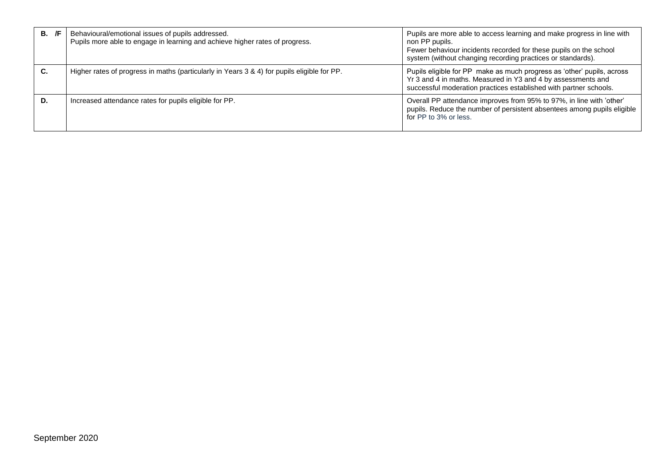| /F<br>В.  | Behavioural/emotional issues of pupils addressed.<br>Pupils more able to engage in learning and achieve higher rates of progress. | Pupils are more able to access learning and make progress in line with<br>non PP pupils.<br>Fewer behaviour incidents recorded for these pupils on the school<br>system (without changing recording practices or standards). |
|-----------|-----------------------------------------------------------------------------------------------------------------------------------|------------------------------------------------------------------------------------------------------------------------------------------------------------------------------------------------------------------------------|
| <b>C.</b> | Higher rates of progress in maths (particularly in Years 3 & 4) for pupils eligible for PP.                                       | Pupils eligible for PP make as much progress as 'other' pupils, across<br>Yr 3 and 4 in maths. Measured in Y3 and 4 by assessments and<br>successful moderation practices established with partner schools.                  |
| D.        | Increased attendance rates for pupils eligible for PP.                                                                            | Overall PP attendance improves from 95% to 97%, in line with 'other'<br>pupils. Reduce the number of persistent absentees among pupils eligible<br>for PP to 3% or less.                                                     |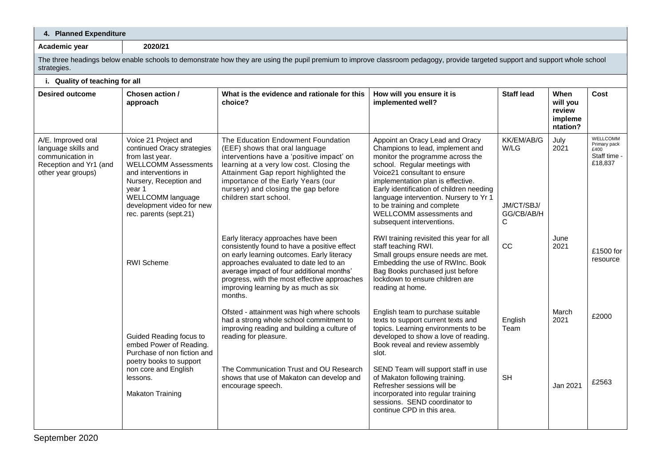| 4. Planned Expenditure                                                                                                                                                                                                                       |                                                                                                                                                                                                                                                                                                                             |                                                                                                                                                                                                                                                                                                                                                                                                                |                                                            |                                                   |                                                                                                                                                                              |  |
|----------------------------------------------------------------------------------------------------------------------------------------------------------------------------------------------------------------------------------------------|-----------------------------------------------------------------------------------------------------------------------------------------------------------------------------------------------------------------------------------------------------------------------------------------------------------------------------|----------------------------------------------------------------------------------------------------------------------------------------------------------------------------------------------------------------------------------------------------------------------------------------------------------------------------------------------------------------------------------------------------------------|------------------------------------------------------------|---------------------------------------------------|------------------------------------------------------------------------------------------------------------------------------------------------------------------------------|--|
| 2020/21                                                                                                                                                                                                                                      |                                                                                                                                                                                                                                                                                                                             |                                                                                                                                                                                                                                                                                                                                                                                                                |                                                            |                                                   |                                                                                                                                                                              |  |
|                                                                                                                                                                                                                                              |                                                                                                                                                                                                                                                                                                                             |                                                                                                                                                                                                                                                                                                                                                                                                                |                                                            |                                                   |                                                                                                                                                                              |  |
| i. Quality of teaching for all                                                                                                                                                                                                               |                                                                                                                                                                                                                                                                                                                             |                                                                                                                                                                                                                                                                                                                                                                                                                |                                                            |                                                   |                                                                                                                                                                              |  |
| Chosen action /<br>approach                                                                                                                                                                                                                  | What is the evidence and rationale for this<br>choice?                                                                                                                                                                                                                                                                      | How will you ensure it is<br>implemented well?                                                                                                                                                                                                                                                                                                                                                                 | <b>Staff lead</b>                                          | When<br>will you<br>review<br>impleme<br>ntation? | Cost                                                                                                                                                                         |  |
| Voice 21 Project and<br>continued Oracy strategies<br>from last year.<br><b>WELLCOMM Assessments</b><br>and interventions in<br>Nursery, Reception and<br>year 1<br>WELLCOMM language<br>development video for new<br>rec. parents (sept.21) | The Education Endowment Foundation<br>(EEF) shows that oral language<br>interventions have a 'positive impact' on<br>learning at a very low cost. Closing the<br>Attainment Gap report highlighted the<br>importance of the Early Years (our<br>nursery) and closing the gap before<br>children start school.               | Appoint an Oracy Lead and Oracy<br>Champions to lead, implement and<br>monitor the programme across the<br>school. Regular meetings with<br>Voice21 consultant to ensure<br>implementation plan is effective.<br>Early identification of children needing<br>language intervention. Nursery to Yr 1<br>to be training and complete<br>WELLCOMM assessments and<br>subsequent interventions.                    | <b>KK/EM/AB/G</b><br>W/LG<br>JM/CT/SBJ/<br>GG/CB/AB/H<br>С | July<br>2021                                      | WELLCOMM<br>Primary pack<br>£400<br>Staff time -<br>£18,837                                                                                                                  |  |
| <b>RWI Scheme</b>                                                                                                                                                                                                                            | Early literacy approaches have been<br>consistently found to have a positive effect<br>on early learning outcomes. Early literacy<br>approaches evaluated to date led to an<br>average impact of four additional months'<br>progress, with the most effective approaches<br>improving learning by as much as six<br>months. | RWI training revisited this year for all<br>staff teaching RWI.<br>Small groups ensure needs are met.<br>Embedding the use of RWInc. Book<br>Bag Books purchased just before<br>lockdown to ensure children are<br>reading at home.                                                                                                                                                                            | <b>CC</b>                                                  | June<br>2021                                      | £1500 for<br>resource                                                                                                                                                        |  |
| Guided Reading focus to<br>embed Power of Reading.<br>Purchase of non fiction and<br>poetry books to support<br>non core and English<br>lessons.<br><b>Makaton Training</b>                                                                  | Ofsted - attainment was high where schools<br>had a strong whole school commitment to<br>improving reading and building a culture of<br>reading for pleasure.<br>The Communication Trust and OU Research<br>shows that use of Makaton can develop and<br>encourage speech.                                                  | English team to purchase suitable<br>texts to support current texts and<br>topics. Learning environments to be<br>developed to show a love of reading.<br>Book reveal and review assembly<br>slot.<br>SEND Team will support staff in use<br>of Makaton following training.<br>Refresher sessions will be<br>incorporated into regular training<br>sessions. SEND coordinator to<br>continue CPD in this area. | English<br>Team<br><b>SH</b>                               | March<br>2021<br>Jan 2021                         | £2000<br>£2563                                                                                                                                                               |  |
|                                                                                                                                                                                                                                              |                                                                                                                                                                                                                                                                                                                             |                                                                                                                                                                                                                                                                                                                                                                                                                |                                                            |                                                   | The three headings below enable schools to demonstrate how they are using the pupil premium to improve classroom pedagogy, provide targeted support and support whole school |  |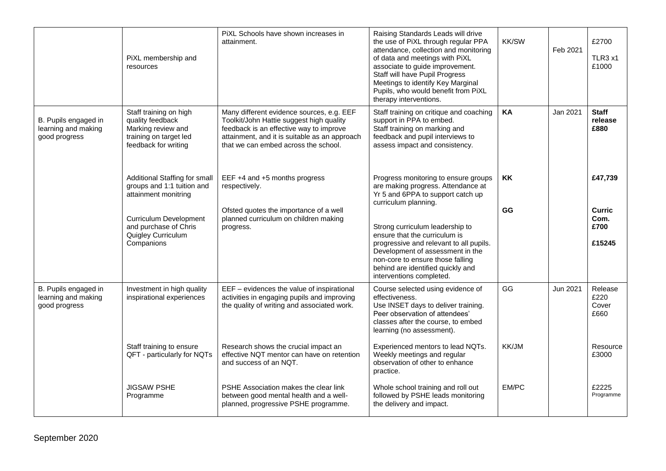|                                                              | PiXL membership and<br>resources                                                                                                                                                           | PiXL Schools have shown increases in<br>attainment.                                                                                                                                                                       | Raising Standards Leads will drive<br>the use of PiXL through regular PPA<br>attendance, collection and monitoring<br>of data and meetings with PiXL<br>associate to guide improvement.<br>Staff will have Pupil Progress<br>Meetings to identify Key Marginal<br>Pupils, who would benefit from PiXL<br>therapy interventions. | <b>KK/SW</b> | Feb 2021 | £2700<br>TLR3 x1<br>£1000               |
|--------------------------------------------------------------|--------------------------------------------------------------------------------------------------------------------------------------------------------------------------------------------|---------------------------------------------------------------------------------------------------------------------------------------------------------------------------------------------------------------------------|---------------------------------------------------------------------------------------------------------------------------------------------------------------------------------------------------------------------------------------------------------------------------------------------------------------------------------|--------------|----------|-----------------------------------------|
| B. Pupils engaged in<br>learning and making<br>good progress | Staff training on high<br>quality feedback<br>Marking review and<br>training on target led<br>feedback for writing                                                                         | Many different evidence sources, e.g. EEF<br>Toolkit/John Hattie suggest high quality<br>feedback is an effective way to improve<br>attainment, and it is suitable as an approach<br>that we can embed across the school. | Staff training on critique and coaching<br>support in PPA to embed.<br>Staff training on marking and<br>feedback and pupil interviews to<br>assess impact and consistency.                                                                                                                                                      | KA           | Jan 2021 | <b>Staff</b><br>release<br>£880         |
|                                                              | Additional Staffing for small<br>groups and 1:1 tuition and<br>attainment monitring                                                                                                        | EEF +4 and +5 months progress<br>respectively.                                                                                                                                                                            | Progress monitoring to ensure groups<br>are making progress. Attendance at<br>Yr 5 and 6PPA to support catch up<br>curriculum planning.                                                                                                                                                                                         | KK           |          | £47,739                                 |
|                                                              | Ofsted quotes the importance of a well<br><b>Curriculum Development</b><br>planned curriculum on children making<br>and purchase of Chris<br>progress.<br>Quigley Curriculum<br>Companions |                                                                                                                                                                                                                           | Strong curriculum leadership to<br>ensure that the curriculum is<br>progressive and relevant to all pupils.<br>Development of assessment in the<br>non-core to ensure those falling<br>behind are identified quickly and<br>interventions completed.                                                                            | GG           |          | <b>Curric</b><br>Com.<br>£700<br>£15245 |
| B. Pupils engaged in<br>learning and making<br>good progress | Investment in high quality<br>inspirational experiences                                                                                                                                    | EEF - evidences the value of inspirational<br>activities in engaging pupils and improving<br>the quality of writing and associated work.                                                                                  | Course selected using evidence of<br>effectiveness.<br>Use INSET days to deliver training.<br>Peer observation of attendees'<br>classes after the course, to embed<br>learning (no assessment).                                                                                                                                 | GG           | Jun 2021 | Release<br>£220<br>Cover<br>£660        |
|                                                              | Staff training to ensure<br>QFT - particularly for NQTs                                                                                                                                    | Research shows the crucial impact an<br>effective NQT mentor can have on retention<br>and success of an NQT.                                                                                                              | Experienced mentors to lead NQTs.<br>Weekly meetings and regular<br>observation of other to enhance<br>practice.                                                                                                                                                                                                                | KK/JM        |          | Resource<br>£3000                       |
|                                                              | <b>JIGSAW PSHE</b><br>Programme                                                                                                                                                            | PSHE Association makes the clear link<br>between good mental health and a well-<br>planned, progressive PSHE programme.                                                                                                   | Whole school training and roll out<br>followed by PSHE leads monitoring<br>the delivery and impact.                                                                                                                                                                                                                             | EM/PC        |          | £2225<br>Programme                      |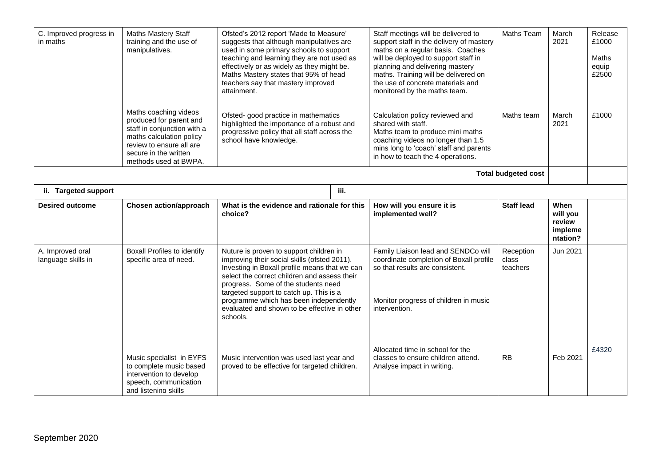| C. Improved progress in<br>in maths    | Maths Mastery Staff<br>training and the use of<br>manipulatives.<br>Maths coaching videos<br>produced for parent and<br>staff in conjunction with a<br>maths calculation policy<br>review to ensure all are<br>secure in the written<br>methods used at BWPA. | Ofsted's 2012 report 'Made to Measure'<br>suggests that although manipulatives are<br>used in some primary schools to support<br>teaching and learning they are not used as<br>effectively or as widely as they might be.<br>Maths Mastery states that 95% of head<br>teachers say that mastery improved<br>attainment.<br>Ofsted- good practice in mathematics<br>highlighted the importance of a robust and<br>progressive policy that all staff across the<br>school have knowledge. | Staff meetings will be delivered to<br>support staff in the delivery of mastery<br>maths on a regular basis. Coaches<br>will be deployed to support staff in<br>planning and delivering mastery<br>maths. Training will be delivered on<br>the use of concrete materials and<br>monitored by the maths team.<br>Calculation policy reviewed and<br>shared with staff.<br>Maths team to produce mini maths<br>coaching videos no longer than 1.5<br>mins long to 'coach' staff and parents<br>in how to teach the 4 operations. | Maths Team<br>Maths team       | March<br>2021<br>March<br>2021                    | Release<br>£1000<br><b>Maths</b><br>equip<br>£2500<br>£1000 |
|----------------------------------------|---------------------------------------------------------------------------------------------------------------------------------------------------------------------------------------------------------------------------------------------------------------|-----------------------------------------------------------------------------------------------------------------------------------------------------------------------------------------------------------------------------------------------------------------------------------------------------------------------------------------------------------------------------------------------------------------------------------------------------------------------------------------|--------------------------------------------------------------------------------------------------------------------------------------------------------------------------------------------------------------------------------------------------------------------------------------------------------------------------------------------------------------------------------------------------------------------------------------------------------------------------------------------------------------------------------|--------------------------------|---------------------------------------------------|-------------------------------------------------------------|
|                                        |                                                                                                                                                                                                                                                               |                                                                                                                                                                                                                                                                                                                                                                                                                                                                                         |                                                                                                                                                                                                                                                                                                                                                                                                                                                                                                                                | <b>Total budgeted cost</b>     |                                                   |                                                             |
| ii. Targeted support                   |                                                                                                                                                                                                                                                               | iii.                                                                                                                                                                                                                                                                                                                                                                                                                                                                                    |                                                                                                                                                                                                                                                                                                                                                                                                                                                                                                                                |                                |                                                   |                                                             |
| <b>Desired outcome</b>                 | <b>Chosen action/approach</b>                                                                                                                                                                                                                                 | What is the evidence and rationale for this<br>choice?                                                                                                                                                                                                                                                                                                                                                                                                                                  | How will you ensure it is<br>implemented well?                                                                                                                                                                                                                                                                                                                                                                                                                                                                                 | <b>Staff lead</b>              | When<br>will you<br>review<br>impleme<br>ntation? |                                                             |
| A. Improved oral<br>language skills in | <b>Boxall Profiles to identify</b><br>specific area of need.                                                                                                                                                                                                  | Nuture is proven to support children in<br>improving their social skills (ofsted 2011).<br>Investing in Boxall profile means that we can<br>select the correct children and assess their<br>progress. Some of the students need<br>targeted support to catch up. This is a<br>programme which has been independently<br>evaluated and shown to be effective in other<br>schools.                                                                                                        | Family Liaison lead and SENDCo will<br>coordinate completion of Boxall profile<br>so that results are consistent.<br>Monitor progress of children in music<br>intervention.                                                                                                                                                                                                                                                                                                                                                    | Reception<br>class<br>teachers | Jun 2021                                          |                                                             |
|                                        | Music specialist in EYFS<br>to complete music based<br>intervention to develop<br>speech, communication<br>and listening skills                                                                                                                               | Music intervention was used last year and<br>proved to be effective for targeted children.                                                                                                                                                                                                                                                                                                                                                                                              | Allocated time in school for the<br>classes to ensure children attend.<br>Analyse impact in writing.                                                                                                                                                                                                                                                                                                                                                                                                                           | <b>RB</b>                      | Feb 2021                                          | £4320                                                       |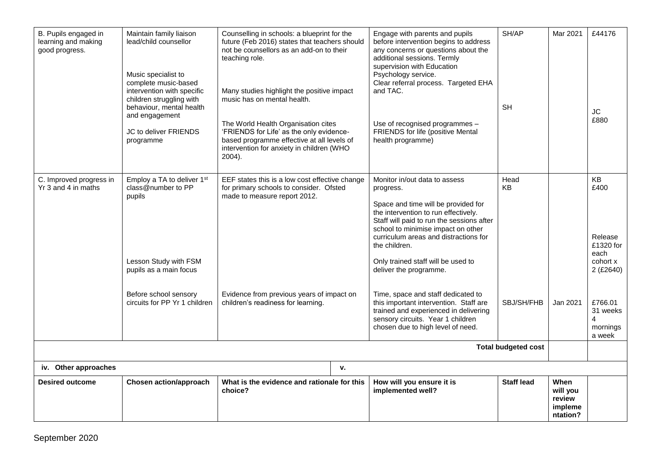| B. Pupils engaged in<br>learning and making<br>good progress. | Maintain family liaison<br>lead/child counsellor<br>Music specialist to<br>complete music-based<br>intervention with specific<br>children struggling with<br>behaviour, mental health<br>and engagement<br>JC to deliver FRIENDS<br>programme | Counselling in schools: a blueprint for the<br>future (Feb 2016) states that teachers should<br>not be counsellors as an add-on to their<br>teaching role.<br>Many studies highlight the positive impact<br>music has on mental health.<br>The World Health Organisation cites<br>'FRIENDS for Life' as the only evidence-<br>based programme effective at all levels of<br>intervention for anxiety in children (WHO<br>2004). | Engage with parents and pupils<br>before intervention begins to address<br>any concerns or questions about the<br>additional sessions. Termly<br>supervision with Education<br>Psychology service.<br>Clear referral process. Targeted EHA<br>and TAC.<br>Use of recognised programmes -<br>FRIENDS for life (positive Mental<br>health programme) | SH/AP<br><b>SH</b> | Mar 2021                                                 | £44176<br><b>JC</b><br>£880                                         |  |  |
|---------------------------------------------------------------|-----------------------------------------------------------------------------------------------------------------------------------------------------------------------------------------------------------------------------------------------|---------------------------------------------------------------------------------------------------------------------------------------------------------------------------------------------------------------------------------------------------------------------------------------------------------------------------------------------------------------------------------------------------------------------------------|----------------------------------------------------------------------------------------------------------------------------------------------------------------------------------------------------------------------------------------------------------------------------------------------------------------------------------------------------|--------------------|----------------------------------------------------------|---------------------------------------------------------------------|--|--|
| C. Improved progress in<br>Yr 3 and 4 in maths                | Employ a TA to deliver 1 <sup>st</sup><br>class@number to PP<br>pupils<br>Lesson Study with FSM<br>pupils as a main focus                                                                                                                     | EEF states this is a low cost effective change<br>for primary schools to consider. Ofsted<br>made to measure report 2012.                                                                                                                                                                                                                                                                                                       | Monitor in/out data to assess<br>progress.<br>Space and time will be provided for<br>the intervention to run effectively.<br>Staff will paid to run the sessions after<br>school to minimise impact on other<br>curriculum areas and distractions for<br>the children.<br>Only trained staff will be used to<br>deliver the programme.             | Head<br>KB         |                                                          | KB<br>£400<br>Release<br>£1320 for<br>each<br>cohort x<br>2 (£2640) |  |  |
|                                                               | Before school sensory<br>circuits for PP Yr 1 children                                                                                                                                                                                        | Evidence from previous years of impact on<br>children's readiness for learning.                                                                                                                                                                                                                                                                                                                                                 | Time, space and staff dedicated to<br>this important intervention. Staff are<br>trained and experienced in delivering<br>sensory circuits. Year 1 children<br>chosen due to high level of need.                                                                                                                                                    | SBJ/SH/FHB         | Jan 2021                                                 | £766.01<br>31 weeks<br>4<br>mornings<br>a week                      |  |  |
|                                                               | <b>Total budgeted cost</b>                                                                                                                                                                                                                    |                                                                                                                                                                                                                                                                                                                                                                                                                                 |                                                                                                                                                                                                                                                                                                                                                    |                    |                                                          |                                                                     |  |  |
| iv. Other approaches                                          |                                                                                                                                                                                                                                               | ۷.                                                                                                                                                                                                                                                                                                                                                                                                                              |                                                                                                                                                                                                                                                                                                                                                    |                    |                                                          |                                                                     |  |  |
| <b>Desired outcome</b>                                        | Chosen action/approach                                                                                                                                                                                                                        | What is the evidence and rationale for this<br>choice?                                                                                                                                                                                                                                                                                                                                                                          | How will you ensure it is<br>implemented well?                                                                                                                                                                                                                                                                                                     | <b>Staff lead</b>  | <b>When</b><br>will you<br>review<br>impleme<br>ntation? |                                                                     |  |  |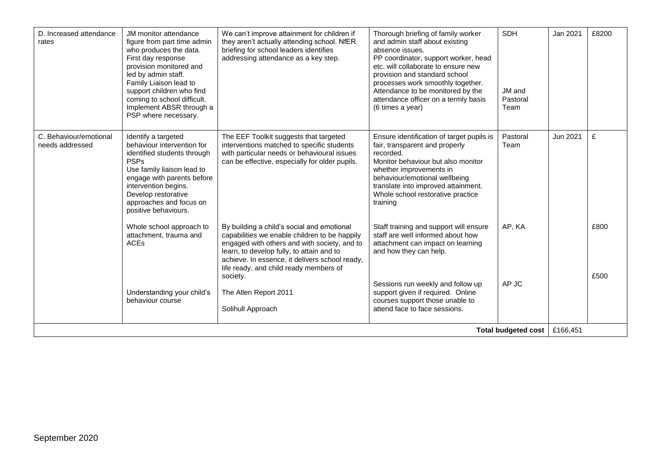| D. Increased attendance<br>rates          | JM monitor attendance<br>figure from part time admin<br>who produces the data.<br>First day response<br>provision monitored and<br>led by admin staff.<br>Family Liaison lead to<br>support children who find<br>coming to school difficult.<br>Implement ABSR through a<br>PSP where necessary. | We can't improve attainment for children if<br>they aren't actually attending school. NfER<br>briefing for school leaders identifies<br>addressing attendance as a key step.                                                                                                                     | Thorough briefing of family worker<br>and admin staff about existing<br>absence issues.<br>PP coordinator, support worker, head<br>etc. will collaborate to ensure new<br>provision and standard school<br>processes work smoothly together.<br>Attendance to be monitored by the<br>attendance officer on a termly basis<br>(6 times a year) | <b>SDH</b><br>JM and<br>Pastoral<br>Team | Jan 2021 | £8200        |
|-------------------------------------------|--------------------------------------------------------------------------------------------------------------------------------------------------------------------------------------------------------------------------------------------------------------------------------------------------|--------------------------------------------------------------------------------------------------------------------------------------------------------------------------------------------------------------------------------------------------------------------------------------------------|-----------------------------------------------------------------------------------------------------------------------------------------------------------------------------------------------------------------------------------------------------------------------------------------------------------------------------------------------|------------------------------------------|----------|--------------|
| C. Behaviour/emotional<br>needs addressed | Identify a targeted<br>behaviour intervention for<br>identified students through<br><b>PSPs</b><br>Use family liaison lead to<br>engage with parents before<br>intervention begins.<br>Develop restorative<br>approaches and focus on<br>positive behaviours.                                    | The EEF Toolkit suggests that targeted<br>interventions matched to specific students<br>with particular needs or behavioural issues<br>can be effective, especially for older pupils.                                                                                                            | Ensure identification of target pupils is<br>fair, transparent and properly<br>recorded.<br>Monitor behaviour but also monitor<br>whether improvements in<br>behaviour/emotional wellbeing<br>translate into improved attainment.<br>Whole school restorative practice<br>training                                                            | Pastoral<br>Team                         | Jun 2021 | £            |
|                                           | Whole school approach to<br>attachment, trauma and<br><b>ACEs</b>                                                                                                                                                                                                                                | By building a child's social and emotional<br>capabilities we enable children to be happily<br>engaged with others and with society, and to<br>learn, to develop fully, to attain and to<br>achieve. In essence, it delivers school ready,<br>life ready, and child ready members of<br>society. | Staff training and support will ensure<br>staff are well informed about how<br>attachment can impact on learning<br>and how they can help.                                                                                                                                                                                                    | AP, KA                                   |          | £800<br>£500 |
|                                           | Understanding your child's<br>behaviour course                                                                                                                                                                                                                                                   | The Allen Report 2011<br>Solihull Approach                                                                                                                                                                                                                                                       | Sessions run weekly and follow up<br>support given if required. Online<br>courses support those unable to<br>attend face to face sessions.                                                                                                                                                                                                    | AP JC                                    |          |              |
| <b>Total budgeted cost</b>                |                                                                                                                                                                                                                                                                                                  |                                                                                                                                                                                                                                                                                                  |                                                                                                                                                                                                                                                                                                                                               |                                          | £166,451 |              |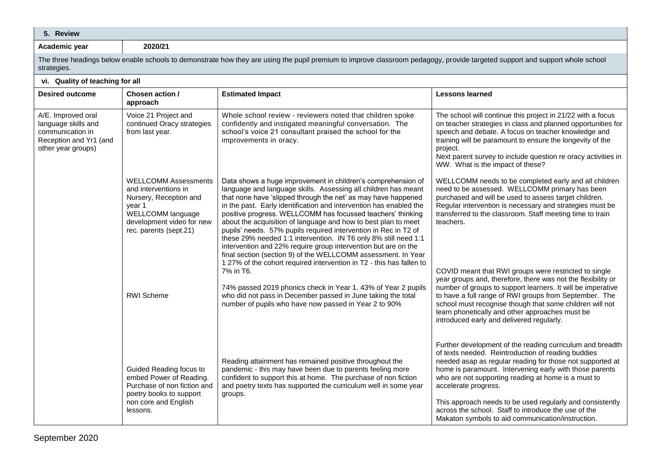| 5. Review                                                                                                     |                                                                                                                                                                     |                                                                                                                                                                                                                                                                                                                                                                                                                                                                                                                                                                                                                                                                                                                                                         |                                                                                                                                                                                                                                                                                                                                                                                                            |
|---------------------------------------------------------------------------------------------------------------|---------------------------------------------------------------------------------------------------------------------------------------------------------------------|---------------------------------------------------------------------------------------------------------------------------------------------------------------------------------------------------------------------------------------------------------------------------------------------------------------------------------------------------------------------------------------------------------------------------------------------------------------------------------------------------------------------------------------------------------------------------------------------------------------------------------------------------------------------------------------------------------------------------------------------------------|------------------------------------------------------------------------------------------------------------------------------------------------------------------------------------------------------------------------------------------------------------------------------------------------------------------------------------------------------------------------------------------------------------|
| Academic year                                                                                                 | 2020/21                                                                                                                                                             |                                                                                                                                                                                                                                                                                                                                                                                                                                                                                                                                                                                                                                                                                                                                                         |                                                                                                                                                                                                                                                                                                                                                                                                            |
| strategies.                                                                                                   |                                                                                                                                                                     | The three headings below enable schools to demonstrate how they are using the pupil premium to improve classroom pedagogy, provide targeted support and support whole school                                                                                                                                                                                                                                                                                                                                                                                                                                                                                                                                                                            |                                                                                                                                                                                                                                                                                                                                                                                                            |
| vi. Quality of teaching for all                                                                               |                                                                                                                                                                     |                                                                                                                                                                                                                                                                                                                                                                                                                                                                                                                                                                                                                                                                                                                                                         |                                                                                                                                                                                                                                                                                                                                                                                                            |
| <b>Desired outcome</b>                                                                                        | Chosen action /<br>approach                                                                                                                                         | <b>Estimated Impact</b>                                                                                                                                                                                                                                                                                                                                                                                                                                                                                                                                                                                                                                                                                                                                 | <b>Lessons learned</b>                                                                                                                                                                                                                                                                                                                                                                                     |
| A/E. Improved oral<br>language skills and<br>communication in<br>Reception and Yr1 (and<br>other year groups) | Voice 21 Project and<br>continued Oracy strategies<br>from last year.                                                                                               | Whole school review - reviewers noted that children spoke<br>confidently and instigated meaningful conversation. The<br>school's voice 21 consultant praised the school for the<br>improvements in oracy.                                                                                                                                                                                                                                                                                                                                                                                                                                                                                                                                               | The school will continue this project in 21/22 with a focus<br>on teacher strategies in class and planned opportunities for<br>speech and debate. A focus on teacher knowledge and<br>training will be paramount to ensure the longevity of the<br>project.<br>Next parent survey to include question re oracy activities in<br>WW. What is the impact of these?                                           |
|                                                                                                               | <b>WELLCOMM Assessments</b><br>and interventions in<br>Nursery, Reception and<br>year 1<br>WELLCOMM language<br>development video for new<br>rec. parents (sept.21) | Data shows a huge improvement in children's comprehension of<br>language and language skills. Assessing all children has meant<br>that none have 'slipped through the net' as may have happened<br>in the past. Early identification and intervention has enabled the<br>positive progress. WELLCOMM has focussed teachers' thinking<br>about the acquisition of language and how to best plan to meet<br>pupils' needs. 57% pupils required intervention in Rec in T2 of<br>these 29% needed 1:1 intervention. IN T6 only 8% still need 1:1<br>intervention and 22% require group intervention but are on the<br>final section (section 9) of the WELLCOMM assessment. In Year<br>1 27% of the cohort required intervention in T2 - this has fallen to | WELLCOMM needs to be completed early and all children<br>need to be assessed. WELLCOMM primary has been<br>purchased and will be used to assess target children.<br>Regular intervention is necessary and strategies must be<br>transferred to the classroom. Staff meeting time to train<br>teachers.                                                                                                     |
|                                                                                                               | <b>RWI</b> Scheme                                                                                                                                                   | 7% in T6.<br>74% passed 2019 phonics check in Year 1. 43% of Year 2 pupils<br>who did not pass in December passed in June taking the total<br>number of pupils who have now passed in Year 2 to 90%                                                                                                                                                                                                                                                                                                                                                                                                                                                                                                                                                     | COVID meant that RWI groups were restricted to single<br>year groups and, therefore, there was not the flexibility or<br>number of groups to support learners. It will be imperative<br>to have a full range of RWI groups from September. The<br>school must recognise though that some children will not<br>learn phonetically and other approaches must be<br>introduced early and delivered regularly. |
|                                                                                                               | Guided Reading focus to<br>embed Power of Reading.                                                                                                                  | Reading attainment has remained positive throughout the<br>pandemic - this may have been due to parents feeling more<br>confident to support this at home. The purchase of non fiction                                                                                                                                                                                                                                                                                                                                                                                                                                                                                                                                                                  | Further development of the reading curriculum and breadth<br>of texts needed. Reintroduction of reading buddies<br>needed asap as regular reading for those not supported at<br>home is paramount. Intervening early with those parents<br>who are not supporting reading at home is a must to                                                                                                             |

and poetry texts has supported the curriculum well in some year

accelerate progress.

Purchase of non fiction and poetry books to support non core and English

groups.

lessons.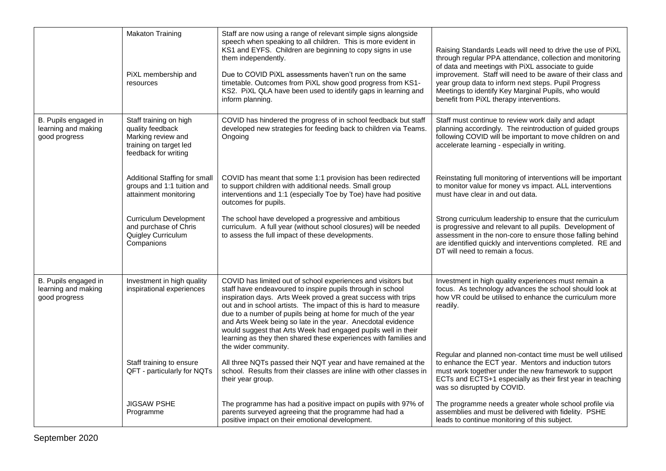|                                                              | <b>Makaton Training</b><br>PiXL membership and<br>resources                                                        | Staff are now using a range of relevant simple signs alongside<br>speech when speaking to all children. This is more evident in<br>KS1 and EYFS. Children are beginning to copy signs in use<br>them independently.<br>Due to COVID PiXL assessments haven't run on the same<br>timetable. Outcomes from PiXL show good progress from KS1-<br>KS2. PiXL QLA have been used to identify gaps in learning and<br>inform planning.                                                                                                                             | Raising Standards Leads will need to drive the use of PiXL<br>through regular PPA attendance, collection and monitoring<br>of data and meetings with PiXL associate to guide<br>improvement. Staff will need to be aware of their class and<br>year group data to inform next steps. Pupil Progress<br>Meetings to identify Key Marginal Pupils, who would<br>benefit from PiXL therapy interventions. |
|--------------------------------------------------------------|--------------------------------------------------------------------------------------------------------------------|-------------------------------------------------------------------------------------------------------------------------------------------------------------------------------------------------------------------------------------------------------------------------------------------------------------------------------------------------------------------------------------------------------------------------------------------------------------------------------------------------------------------------------------------------------------|--------------------------------------------------------------------------------------------------------------------------------------------------------------------------------------------------------------------------------------------------------------------------------------------------------------------------------------------------------------------------------------------------------|
| B. Pupils engaged in<br>learning and making<br>good progress | Staff training on high<br>quality feedback<br>Marking review and<br>training on target led<br>feedback for writing | COVID has hindered the progress of in school feedback but staff<br>developed new strategies for feeding back to children via Teams.<br>Ongoing                                                                                                                                                                                                                                                                                                                                                                                                              | Staff must continue to review work daily and adapt<br>planning accordingly. The reintroduction of guided groups<br>following COVID will be important to move children on and<br>accelerate learning - especially in writing.                                                                                                                                                                           |
|                                                              | Additional Staffing for small<br>groups and 1:1 tuition and<br>attainment monitoring                               | COVID has meant that some 1:1 provision has been redirected<br>to support children with additional needs. Small group<br>interventions and 1:1 (especially Toe by Toe) have had positive<br>outcomes for pupils.                                                                                                                                                                                                                                                                                                                                            | Reinstating full monitoring of interventions will be important<br>to monitor value for money vs impact. ALL interventions<br>must have clear in and out data.                                                                                                                                                                                                                                          |
|                                                              | <b>Curriculum Development</b><br>and purchase of Chris<br>Quigley Curriculum<br>Companions                         | The school have developed a progressive and ambitious<br>curriculum. A full year (without school closures) will be needed<br>to assess the full impact of these developments.                                                                                                                                                                                                                                                                                                                                                                               | Strong curriculum leadership to ensure that the curriculum<br>is progressive and relevant to all pupils. Development of<br>assessment in the non-core to ensure those falling behind<br>are identified quickly and interventions completed. RE and<br>DT will need to remain a focus.                                                                                                                  |
| B. Pupils engaged in<br>learning and making<br>good progress | Investment in high quality<br>inspirational experiences                                                            | COVID has limited out of school experiences and visitors but<br>staff have endeavoured to inspire pupils through in school<br>inspiration days. Arts Week proved a great success with trips<br>out and in school artists. The impact of this is hard to measure<br>due to a number of pupils being at home for much of the year<br>and Arts Week being so late in the year. Anecdotal evidence<br>would suggest that Arts Week had engaged pupils well in their<br>learning as they then shared these experiences with families and<br>the wider community. | Investment in high quality experiences must remain a<br>focus. As technology advances the school should look at<br>how VR could be utilised to enhance the curriculum more<br>readily.                                                                                                                                                                                                                 |
|                                                              | Staff training to ensure<br>QFT - particularly for NQTs                                                            | All three NQTs passed their NQT year and have remained at the<br>school. Results from their classes are inline with other classes in<br>their year group.                                                                                                                                                                                                                                                                                                                                                                                                   | Regular and planned non-contact time must be well utilised<br>to enhance the ECT year. Mentors and induction tutors<br>must work together under the new framework to support<br>ECTs and ECTS+1 especially as their first year in teaching<br>was so disrupted by COVID.                                                                                                                               |
|                                                              | <b>JIGSAW PSHE</b><br>Programme                                                                                    | The programme has had a positive impact on pupils with 97% of<br>parents surveyed agreeing that the programme had had a<br>positive impact on their emotional development.                                                                                                                                                                                                                                                                                                                                                                                  | The programme needs a greater whole school profile via<br>assemblies and must be delivered with fidelity. PSHE<br>leads to continue monitoring of this subject.                                                                                                                                                                                                                                        |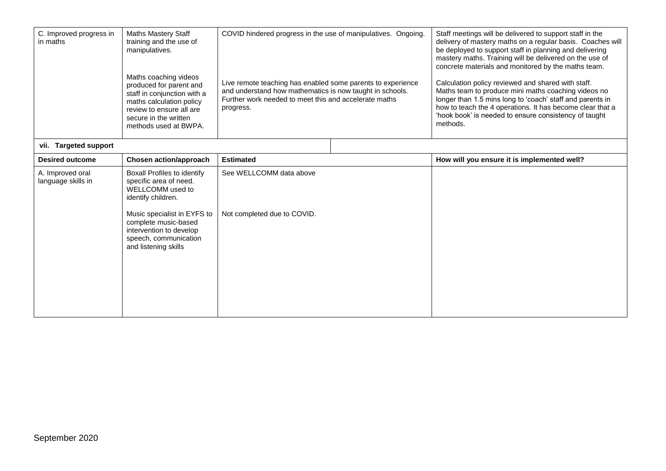| C. Improved progress in<br>in maths    | <b>Maths Mastery Staff</b><br>training and the use of<br>manipulatives.<br>Maths coaching videos<br>produced for parent and<br>staff in conjunction with a<br>maths calculation policy<br>review to ensure all are<br>secure in the written<br>methods used at BWPA. | COVID hindered progress in the use of manipulatives. Ongoing.<br>Live remote teaching has enabled some parents to experience<br>and understand how mathematics is now taught in schools.<br>Further work needed to meet this and accelerate maths<br>progress. |  | Staff meetings will be delivered to support staff in the<br>delivery of mastery maths on a regular basis. Coaches will<br>be deployed to support staff in planning and delivering<br>mastery maths. Training will be delivered on the use of<br>concrete materials and monitored by the maths team.<br>Calculation policy reviewed and shared with staff.<br>Maths team to produce mini maths coaching videos no<br>longer than 1.5 mins long to 'coach' staff and parents in<br>how to teach the 4 operations. It has become clear that a<br>'hook book' is needed to ensure consistency of taught<br>methods. |
|----------------------------------------|----------------------------------------------------------------------------------------------------------------------------------------------------------------------------------------------------------------------------------------------------------------------|----------------------------------------------------------------------------------------------------------------------------------------------------------------------------------------------------------------------------------------------------------------|--|-----------------------------------------------------------------------------------------------------------------------------------------------------------------------------------------------------------------------------------------------------------------------------------------------------------------------------------------------------------------------------------------------------------------------------------------------------------------------------------------------------------------------------------------------------------------------------------------------------------------|
| vii. Targeted support                  |                                                                                                                                                                                                                                                                      |                                                                                                                                                                                                                                                                |  |                                                                                                                                                                                                                                                                                                                                                                                                                                                                                                                                                                                                                 |
| <b>Desired outcome</b>                 | Chosen action/approach                                                                                                                                                                                                                                               | <b>Estimated</b>                                                                                                                                                                                                                                               |  | How will you ensure it is implemented well?                                                                                                                                                                                                                                                                                                                                                                                                                                                                                                                                                                     |
| A. Improved oral<br>language skills in | Boxall Profiles to identify<br>specific area of need.<br>WELLCOMM used to<br>identify children.<br>Music specialist in EYFS to<br>complete music-based<br>intervention to develop<br>speech, communication<br>and listening skills                                   | See WELLCOMM data above<br>Not completed due to COVID.                                                                                                                                                                                                         |  |                                                                                                                                                                                                                                                                                                                                                                                                                                                                                                                                                                                                                 |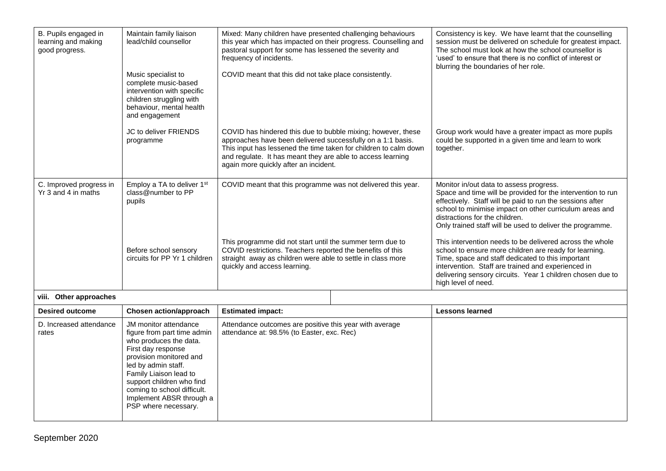| B. Pupils engaged in<br>learning and making<br>good progress. | Maintain family liaison<br>lead/child counsellor<br>Music specialist to                                                      | Mixed: Many children have presented challenging behaviours<br>this year which has impacted on their progress. Counselling and<br>pastoral support for some has lessened the severity and<br>frequency of incidents.<br>COVID meant that this did not take place consistently.                           |  | Consistency is key. We have learnt that the counselling<br>session must be delivered on schedule for greatest impact.<br>The school must look at how the school counsellor is<br>'used' to ensure that there is no conflict of interest or<br>blurring the boundaries of her role.                                            |
|---------------------------------------------------------------|------------------------------------------------------------------------------------------------------------------------------|---------------------------------------------------------------------------------------------------------------------------------------------------------------------------------------------------------------------------------------------------------------------------------------------------------|--|-------------------------------------------------------------------------------------------------------------------------------------------------------------------------------------------------------------------------------------------------------------------------------------------------------------------------------|
|                                                               | complete music-based<br>intervention with specific<br>children struggling with<br>behaviour, mental health<br>and engagement |                                                                                                                                                                                                                                                                                                         |  |                                                                                                                                                                                                                                                                                                                               |
|                                                               | JC to deliver FRIENDS<br>programme                                                                                           | COVID has hindered this due to bubble mixing; however, these<br>approaches have been delivered successfully on a 1:1 basis.<br>This input has lessened the time taken for children to calm down<br>and regulate. It has meant they are able to access learning<br>again more quickly after an incident. |  | Group work would have a greater impact as more pupils<br>could be supported in a given time and learn to work<br>together.                                                                                                                                                                                                    |
| C. Improved progress in<br>Yr 3 and 4 in maths                | Employ a TA to deliver 1 <sup>st</sup><br>class@number to PP<br>pupils                                                       | COVID meant that this programme was not delivered this year.<br>This programme did not start until the summer term due to<br>COVID restrictions. Teachers reported the benefits of this<br>straight away as children were able to settle in class more<br>quickly and access learning.                  |  | Monitor in/out data to assess progress.<br>Space and time will be provided for the intervention to run<br>effectively. Staff will be paid to run the sessions after<br>school to minimise impact on other curriculum areas and<br>distractions for the children.<br>Only trained staff will be used to deliver the programme. |
|                                                               | Before school sensory<br>circuits for PP Yr 1 children                                                                       |                                                                                                                                                                                                                                                                                                         |  | This intervention needs to be delivered across the whole<br>school to ensure more children are ready for learning.<br>Time, space and staff dedicated to this important<br>intervention. Staff are trained and experienced in<br>delivering sensory circuits. Year 1 children chosen due to<br>high level of need.            |
| viii. Other approaches                                        |                                                                                                                              |                                                                                                                                                                                                                                                                                                         |  |                                                                                                                                                                                                                                                                                                                               |

| <b>Desired outcome</b>           | Chosen action/approach                                                                                                                                                                                                                                                                           | <b>Estimated impact:</b>                                                                              | <b>Lessons learned</b> |  |
|----------------------------------|--------------------------------------------------------------------------------------------------------------------------------------------------------------------------------------------------------------------------------------------------------------------------------------------------|-------------------------------------------------------------------------------------------------------|------------------------|--|
| D. Increased attendance<br>rates | JM monitor attendance<br>figure from part time admin<br>who produces the data.<br>First day response<br>provision monitored and<br>led by admin staff.<br>Family Liaison lead to<br>support children who find<br>coming to school difficult.<br>Implement ABSR through a<br>PSP where necessary. | Attendance outcomes are positive this year with average<br>attendance at: 98.5% (to Easter, exc. Rec) |                        |  |